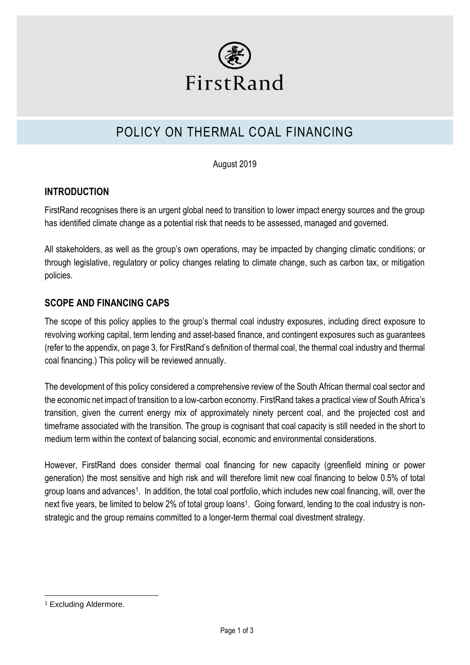

# POLICY ON THERMAL COAL FINANCING

August 2019

## **INTRODUCTION**

FirstRand recognises there is an urgent global need to transition to lower impact energy sources and the group has identified climate change as a potential risk that needs to be assessed, managed and governed.

All stakeholders, as well as the group's own operations, may be impacted by changing climatic conditions; or through legislative, regulatory or policy changes relating to climate change, such as carbon tax, or mitigation policies.

## **SCOPE AND FINANCING CAPS**

The scope of this policy applies to the group's thermal coal industry exposures, including direct exposure to revolving working capital, term lending and asset-based finance, and contingent exposures such as guarantees (refer to the appendix, on page 3, for FirstRand's definition of thermal coal, the thermal coal industry and thermal coal financing.) This policy will be reviewed annually.

The development of this policy considered a comprehensive review of the South African thermal coal sector and the economic net impact of transition to a low-carbon economy. FirstRand takes a practical view of South Africa's transition, given the current energy mix of approximately ninety percent coal, and the projected cost and timeframe associated with the transition. The group is cognisant that coal capacity is still needed in the short to medium term within the context of balancing social, economic and environmental considerations.

However, FirstRand does consider thermal coal financing for new capacity (greenfield mining or power generation) the most sensitive and high risk and will therefore limit new coal financing to below 0.5% of total group loans and advances<sup>1</sup>. In addition, the total coal portfolio, which includes new coal financing, will, over the next five years, be limited to below 2% of total group loans<sup>1</sup>. Going forward, lending to the coal industry is nonstrategic and the group remains committed to a longer-term thermal coal divestment strategy.

1

<sup>1</sup> Excluding Aldermore.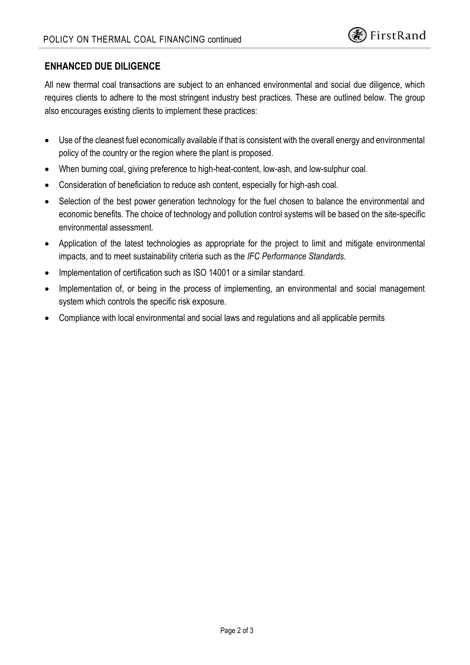## **ENHANCED DUE DILIGENCE**

All new thermal coal transactions are subject to an enhanced environmental and social due diligence, which requires clients to adhere to the most stringent industry best practices. These are outlined below. The group also encourages existing clients to implement these practices:

- Use of the cleanest fuel economically available if that is consistent with the overall energy and environmental policy of the country or the region where the plant is proposed.
- When burning coal, giving preference to high-heat-content, low-ash, and low-sulphur coal.
- Consideration of beneficiation to reduce ash content, especially for high-ash coal.
- Selection of the best power generation technology for the fuel chosen to balance the environmental and economic benefits. The choice of technology and pollution control systems will be based on the site-specific environmental assessment.
- Application of the latest technologies as appropriate for the project to limit and mitigate environmental impacts, and to meet sustainability criteria such as the *IFC Performance Standards.*
- Implementation of certification such as ISO 14001 or a similar standard.
- Implementation of, or being in the process of implementing, an environmental and social management system which controls the specific risk exposure.
- Compliance with local environmental and social laws and regulations and all applicable permits